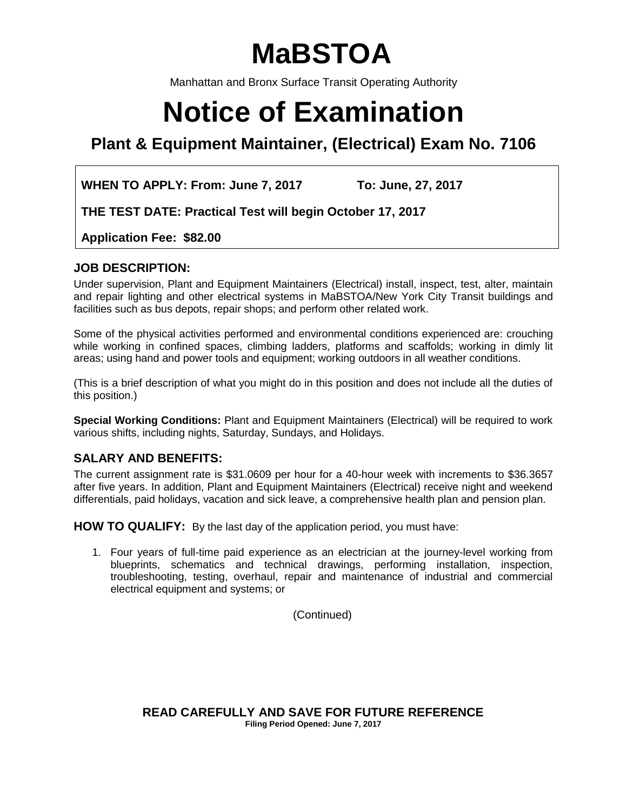# **MaBSTOA**

Manhattan and Bronx Surface Transit Operating Authority

# **Notice of Examination**

**Plant & Equipment Maintainer, (Electrical) Exam No. 7106**

**WHEN TO APPLY: From: June 7, 2017 To: June, 27, 2017**

**THE TEST DATE: Practical Test will begin October 17, 2017**

**Application Fee: \$82.00**

# **JOB DESCRIPTION:**

Under supervision, Plant and Equipment Maintainers (Electrical) install, inspect, test, alter, maintain and repair lighting and other electrical systems in MaBSTOA/New York City Transit buildings and facilities such as bus depots, repair shops; and perform other related work.

Some of the physical activities performed and environmental conditions experienced are: crouching while working in confined spaces, climbing ladders, platforms and scaffolds; working in dimly lit areas; using hand and power tools and equipment; working outdoors in all weather conditions.

(This is a brief description of what you might do in this position and does not include all the duties of this position.)

**Special Working Conditions:** Plant and Equipment Maintainers (Electrical) will be required to work various shifts, including nights, Saturday, Sundays, and Holidays.

# **SALARY AND BENEFITS:**

The current assignment rate is \$31.0609 per hour for a 40-hour week with increments to \$36.3657 after five years. In addition, Plant and Equipment Maintainers (Electrical) receive night and weekend differentials, paid holidays, vacation and sick leave, a comprehensive health plan and pension plan.

**HOW TO QUALIFY:** By the last day of the application period, you must have:

1. Four years of full-time paid experience as an electrician at the journey-level working from blueprints, schematics and technical drawings, performing installation, inspection, troubleshooting, testing, overhaul, repair and maintenance of industrial and commercial electrical equipment and systems; or

(Continued)

**READ CAREFULLY AND SAVE FOR FUTURE REFERENCE Filing Period Opened: June 7, 2017**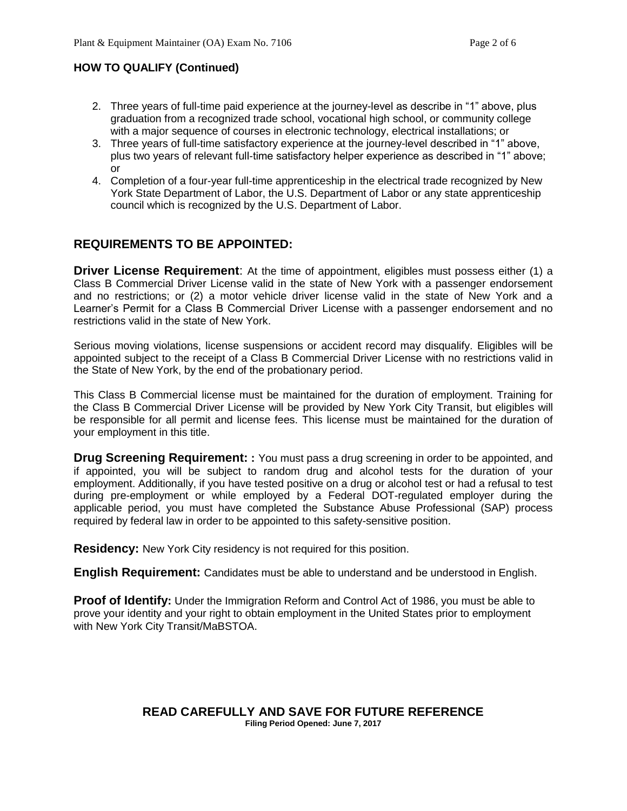## **HOW TO QUALIFY (Continued)**

- 2. Three years of full-time paid experience at the journey-level as describe in "1" above, plus graduation from a recognized trade school, vocational high school, or community college with a major sequence of courses in electronic technology, electrical installations; or
- 3. Three years of full-time satisfactory experience at the journey-level described in "1" above, plus two years of relevant full-time satisfactory helper experience as described in "1" above; or
- 4. Completion of a four-year full-time apprenticeship in the electrical trade recognized by New York State Department of Labor, the U.S. Department of Labor or any state apprenticeship council which is recognized by the U.S. Department of Labor.

# **REQUIREMENTS TO BE APPOINTED:**

**Driver License Requirement:** At the time of appointment, eligibles must possess either (1) a Class B Commercial Driver License valid in the state of New York with a passenger endorsement and no restrictions; or (2) a motor vehicle driver license valid in the state of New York and a Learner's Permit for a Class B Commercial Driver License with a passenger endorsement and no restrictions valid in the state of New York.

Serious moving violations, license suspensions or accident record may disqualify. Eligibles will be appointed subject to the receipt of a Class B Commercial Driver License with no restrictions valid in the State of New York, by the end of the probationary period.

This Class B Commercial license must be maintained for the duration of employment. Training for the Class B Commercial Driver License will be provided by New York City Transit, but eligibles will be responsible for all permit and license fees. This license must be maintained for the duration of your employment in this title.

**Drug Screening Requirement: :** You must pass a drug screening in order to be appointed, and if appointed, you will be subject to random drug and alcohol tests for the duration of your employment. Additionally, if you have tested positive on a drug or alcohol test or had a refusal to test during pre-employment or while employed by a Federal DOT-regulated employer during the applicable period, you must have completed the Substance Abuse Professional (SAP) process required by federal law in order to be appointed to this safety-sensitive position.

**Residency:** New York City residency is not required for this position.

**English Requirement:** Candidates must be able to understand and be understood in English.

**Proof of Identify:** Under the Immigration Reform and Control Act of 1986, you must be able to prove your identity and your right to obtain employment in the United States prior to employment with New York City Transit/MaBSTOA.

#### **READ CAREFULLY AND SAVE FOR FUTURE REFERENCE Filing Period Opened: June 7, 2017**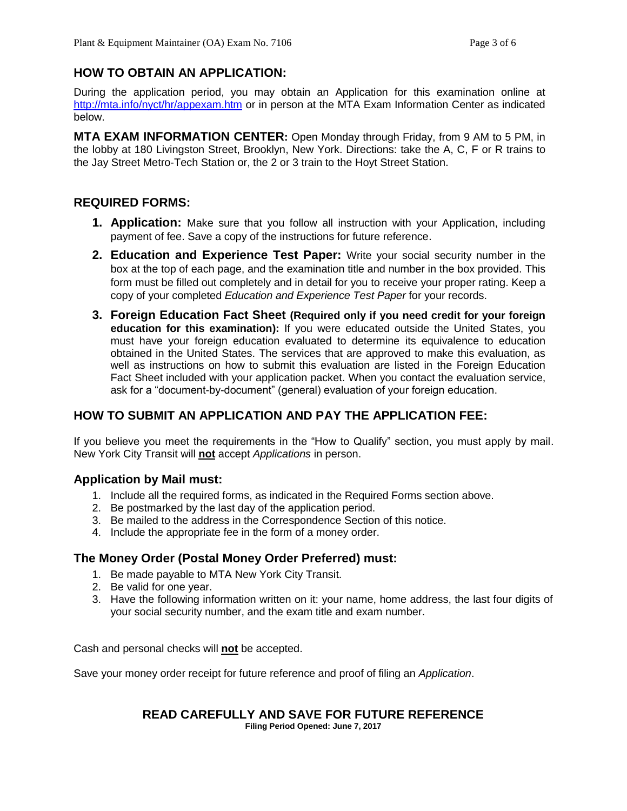# **HOW TO OBTAIN AN APPLICATION:**

During the application period, you may obtain an Application for this examination online at <http://mta.info/nyct/hr/appexam.htm> or in person at the MTA Exam Information Center as indicated below.

**MTA EXAM INFORMATION CENTER:** Open Monday through Friday, from 9 AM to 5 PM, in the lobby at 180 Livingston Street, Brooklyn, New York. Directions: take the A, C, F or R trains to the Jay Street Metro-Tech Station or, the 2 or 3 train to the Hoyt Street Station.

# **REQUIRED FORMS:**

- **1. Application:** Make sure that you follow all instruction with your Application, including payment of fee. Save a copy of the instructions for future reference.
- **2. Education and Experience Test Paper:** Write your social security number in the box at the top of each page, and the examination title and number in the box provided. This form must be filled out completely and in detail for you to receive your proper rating. Keep a copy of your completed *Education and Experience Test Paper* for your records.
- **3. Foreign Education Fact Sheet (Required only if you need credit for your foreign education for this examination):** If you were educated outside the United States, you must have your foreign education evaluated to determine its equivalence to education obtained in the United States. The services that are approved to make this evaluation, as well as instructions on how to submit this evaluation are listed in the Foreign Education Fact Sheet included with your application packet. When you contact the evaluation service, ask for a "document-by-document" (general) evaluation of your foreign education.

# **HOW TO SUBMIT AN APPLICATION AND PAY THE APPLICATION FEE:**

If you believe you meet the requirements in the "How to Qualify" section, you must apply by mail. New York City Transit will **not** accept *Applications* in person.

# **Application by Mail must:**

- 1. Include all the required forms, as indicated in the Required Forms section above.
- 2. Be postmarked by the last day of the application period.
- 3. Be mailed to the address in the Correspondence Section of this notice.
- 4. Include the appropriate fee in the form of a money order.

# **The Money Order (Postal Money Order Preferred) must:**

- 1. Be made payable to MTA New York City Transit.
- 2. Be valid for one year.
- 3. Have the following information written on it: your name, home address, the last four digits of your social security number, and the exam title and exam number.

Cash and personal checks will **not** be accepted.

Save your money order receipt for future reference and proof of filing an *Application*.

# **READ CAREFULLY AND SAVE FOR FUTURE REFERENCE**

**Filing Period Opened: June 7, 2017**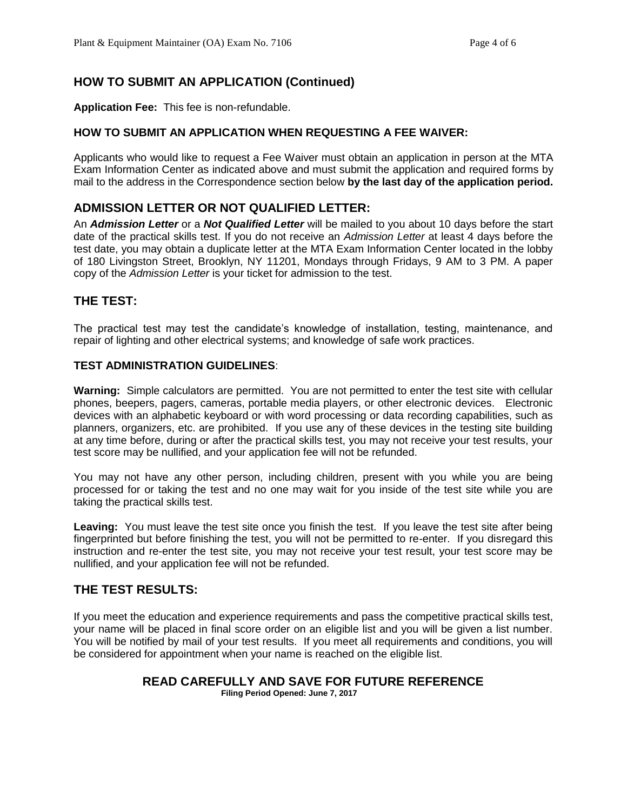# **HOW TO SUBMIT AN APPLICATION (Continued)**

**Application Fee:** This fee is non-refundable.

#### **HOW TO SUBMIT AN APPLICATION WHEN REQUESTING A FEE WAIVER:**

Applicants who would like to request a Fee Waiver must obtain an application in person at the MTA Exam Information Center as indicated above and must submit the application and required forms by mail to the address in the Correspondence section below **by the last day of the application period.**

## **ADMISSION LETTER OR NOT QUALIFIED LETTER:**

An *Admission Letter* or a *Not Qualified Letter* will be mailed to you about 10 days before the start date of the practical skills test. If you do not receive an *Admission Letter* at least 4 days before the test date, you may obtain a duplicate letter at the MTA Exam Information Center located in the lobby of 180 Livingston Street, Brooklyn, NY 11201, Mondays through Fridays, 9 AM to 3 PM. A paper copy of the *Admission Letter* is your ticket for admission to the test.

## **THE TEST:**

The practical test may test the candidate's knowledge of installation, testing, maintenance, and repair of lighting and other electrical systems; and knowledge of safe work practices.

#### **TEST ADMINISTRATION GUIDELINES**:

**Warning:** Simple calculators are permitted. You are not permitted to enter the test site with cellular phones, beepers, pagers, cameras, portable media players, or other electronic devices. Electronic devices with an alphabetic keyboard or with word processing or data recording capabilities, such as planners, organizers, etc. are prohibited. If you use any of these devices in the testing site building at any time before, during or after the practical skills test, you may not receive your test results, your test score may be nullified, and your application fee will not be refunded.

You may not have any other person, including children, present with you while you are being processed for or taking the test and no one may wait for you inside of the test site while you are taking the practical skills test.

**Leaving:** You must leave the test site once you finish the test. If you leave the test site after being fingerprinted but before finishing the test, you will not be permitted to re-enter. If you disregard this instruction and re-enter the test site, you may not receive your test result, your test score may be nullified, and your application fee will not be refunded.

#### **THE TEST RESULTS:**

If you meet the education and experience requirements and pass the competitive practical skills test, your name will be placed in final score order on an eligible list and you will be given a list number. You will be notified by mail of your test results. If you meet all requirements and conditions, you will be considered for appointment when your name is reached on the eligible list.

#### **READ CAREFULLY AND SAVE FOR FUTURE REFERENCE**

**Filing Period Opened: June 7, 2017**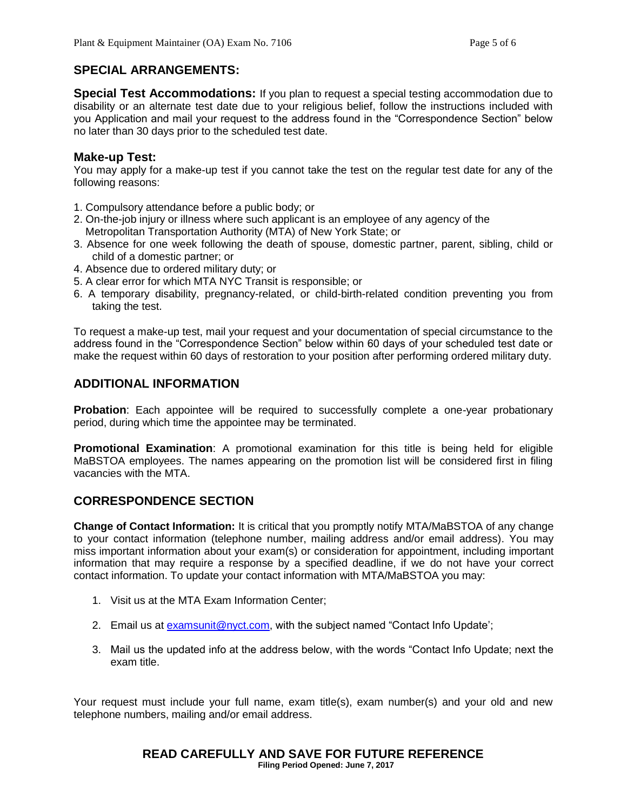# **SPECIAL ARRANGEMENTS:**

**Special Test Accommodations:** If you plan to request a special testing accommodation due to disability or an alternate test date due to your religious belief, follow the instructions included with you Application and mail your request to the address found in the "Correspondence Section" below no later than 30 days prior to the scheduled test date.

### **Make-up Test:**

You may apply for a make-up test if you cannot take the test on the regular test date for any of the following reasons:

- 1. Compulsory attendance before a public body; or
- 2. On-the-job injury or illness where such applicant is an employee of any agency of the Metropolitan Transportation Authority (MTA) of New York State; or
- 3. Absence for one week following the death of spouse, domestic partner, parent, sibling, child or child of a domestic partner; or
- 4. Absence due to ordered military duty; or
- 5. A clear error for which MTA NYC Transit is responsible; or
- 6. A temporary disability, pregnancy-related, or child-birth-related condition preventing you from taking the test.

To request a make-up test, mail your request and your documentation of special circumstance to the address found in the "Correspondence Section" below within 60 days of your scheduled test date or make the request within 60 days of restoration to your position after performing ordered military duty.

## **ADDITIONAL INFORMATION**

**Probation**: Each appointee will be required to successfully complete a one-year probationary period, during which time the appointee may be terminated.

**Promotional Examination**: A promotional examination for this title is being held for eligible MaBSTOA employees. The names appearing on the promotion list will be considered first in filing vacancies with the MTA.

# **CORRESPONDENCE SECTION**

**Change of Contact Information:** It is critical that you promptly notify MTA/MaBSTOA of any change to your contact information (telephone number, mailing address and/or email address). You may miss important information about your exam(s) or consideration for appointment, including important information that may require a response by a specified deadline, if we do not have your correct contact information. To update your contact information with MTA/MaBSTOA you may:

- 1. Visit us at the MTA Exam Information Center;
- 2. Email us at [examsunit@nyct.com,](mailto:examsunit@nyct.com) with the subject named "Contact Info Update";
- 3. Mail us the updated info at the address below, with the words "Contact Info Update; next the exam title.

Your request must include your full name, exam title(s), exam number(s) and your old and new telephone numbers, mailing and/or email address.